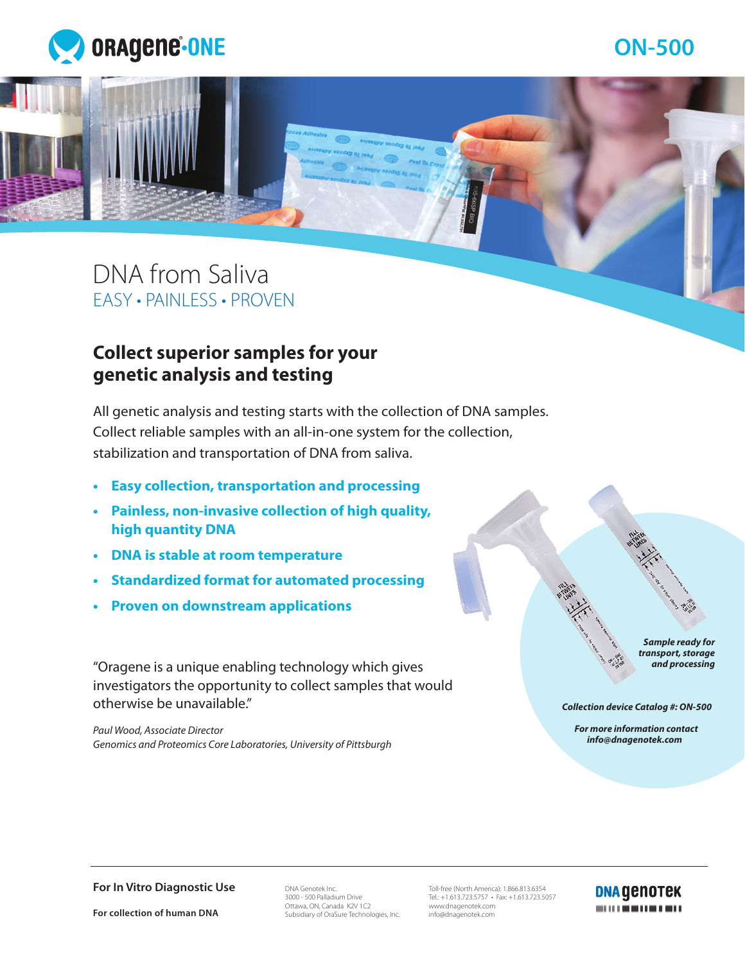

# DNA from Saliva EASY • PAINLESS • PROVEN

## **Collect superior samples for your genetic analysis and testing**

All genetic analysis and testing starts with the collection of DNA samples. Collect reliable samples with an all-in-one system for the collection, stabilization and transportation of DNA from saliva.

- **• Easy collection, transportation and processing**
- **• Painless, non-invasive collection of high quality, high quantity DNA**
- **• DNA is stable at room temperature**
- **• Standardized format for automated processing**
- **• Proven on downstream applications**

"Oragene is a unique enabling technology which gives investigators the opportunity to collect samples that would otherwise be unavailable."

*Paul Wood, Associate Director Genomics and Proteomics Core Laboratories, University of Pittsburgh*

*Sample ready for transport, storage and processing*

*Collection device Catalog #: ON-500*

 *For more information contact info@dnagenotek.com*

**For In Vitro Diagnostic Use** 

**For collection of human DNA**

DNA Genotek Inc. 3000 - 500 Palladium Drive Ottawa, ON, Canada K2V 1C2 Subsidiary of OraSure Technologies, Inc.

Toll-free (North America): 1.866.813.6354 Tel.: +1.613.723.5757 • Fax: +1.613.723.5057 www.dnagenotek.com info@dnagenotek.com

**DNA GENOTEK**